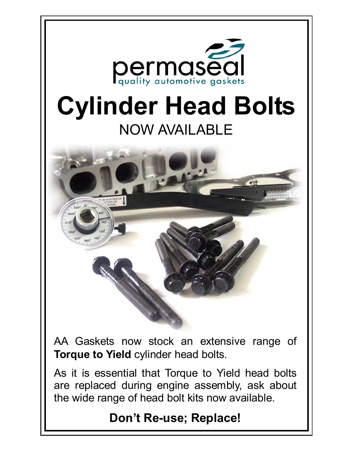

## **Don't Re-use; Replace!**